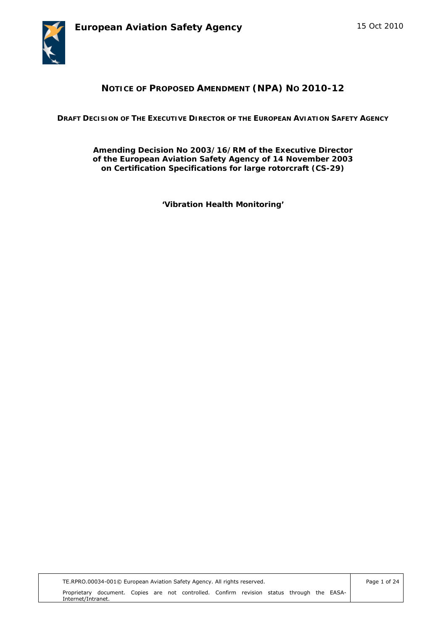



# **NOTICE OF PROPOSED AMENDMENT (NPA) NO 2010-12**

**DRAFT DECISION OF THE EXECUTIVE DIRECTOR OF THE EUROPEAN AVIATION SAFETY AGENCY** 

**Amending Decision No 2003/16/RM of the Executive Director of the European Aviation Safety Agency of 14 November 2003 on Certification Specifications for large rotorcraft (CS-29)** 

*'Vibration Health Monitoring'* 

Page 1 of 24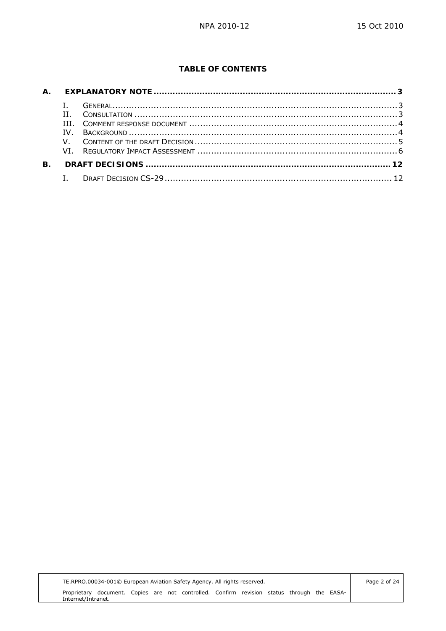## **TABLE OF CONTENTS**

|           | H.  | $\frac{1}{3}$ |  |
|-----------|-----|---------------|--|
|           | TTT |               |  |
|           | TV. |               |  |
|           |     |               |  |
|           |     |               |  |
| <b>B.</b> |     |               |  |
|           |     |               |  |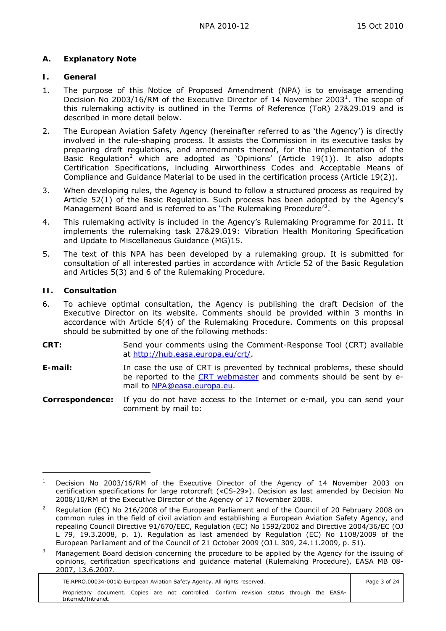## <span id="page-2-0"></span>**A. Explanatory Note**

### <span id="page-2-1"></span>**I. General**

- 1. The purpose of this Notice of Proposed Amendment (NPA) is to envisage amending Decision No 2003/[1](#page-2-3)6/RM of the Executive Director of 14 November 2003<sup>1</sup>. The scope of this rulemaking activity is outlined in the Terms of Reference (ToR) 27&29.019 and is described in more detail below.
- 2. The European Aviation Safety Agency (hereinafter referred to as 'the Agency') is directly involved in the rule-shaping process. It assists the Commission in its executive tasks by preparing draft regulations, and amendments thereof, for the implementation of the Basic Requlation<sup>[2](#page-2-4)</sup> which are adopted as 'Opinions' (Article 19(1)). It also adopts Certification Specifications, including Airworthiness Codes and Acceptable Means of Compliance and Guidance Material to be used in the certification process (Article 19(2)).
- 3. When developing rules, the Agency is bound to follow a structured process as required by Article 52(1) of the Basic Regulation. Such process has been adopted by the Agency's Management Board and is referred to as 'The Rulemaking Procedure'<sup>[3](#page-2-5)</sup>.
- 4. This rulemaking activity is included in the Agency's Rulemaking Programme for 2011. It implements the rulemaking task 27&29.019: Vibration Health Monitoring Specification and Update to Miscellaneous Guidance (MG)15.
- 5. The text of this NPA has been developed by a rulemaking group. It is submitted for consultation of all interested parties in accordance with Article 52 of the Basic Regulation and Articles 5(3) and 6 of the Rulemaking Procedure.

## <span id="page-2-2"></span>**II. Consultation**

 $\overline{a}$ 

- 6. To achieve optimal consultation, the Agency is publishing the draft Decision of the Executive Director on its website. Comments should be provided within 3 months in accordance with Article 6(4) of the Rulemaking Procedure. Comments on this proposal should be submitted by one of the following methods:
- **CRT:** Send your comments using the Comment-Response Tool (CRT) available at [http://hub.easa.europa.eu/crt/.](http://hub.easa.europa.eu/crt/)
- **E-mail:** In case the use of CRT is prevented by technical problems, these should be reported to the [CRT webmaster](mailto:crt@easa.europa.eu) and comments should be sent by email to [NPA@easa.europa.eu.](mailto:NPA@easa.europa.eu)
- **Correspondence:** If you do not have access to the Internet or e-mail, you can send your comment by mail to:

TE.RPRO.00034-001© European Aviation Safety Agency. All rights reserved. Proprietary document. Copies are not controlled. Confirm revision status through the EASA-Internet/Intranet.

<span id="page-2-3"></span><sup>1</sup> Decision No 2003/16/RM of the Executive Director of the Agency of 14 November 2003 on certification specifications for large rotorcraft («CS-29»). Decision as last amended by Decision No 2008/10/RM of the Executive Director of the Agency of 17 November 2008.

<span id="page-2-4"></span><sup>2</sup> Regulation (EC) No 216/2008 of the European Parliament and of the Council of 20 February 2008 on common rules in the field of civil aviation and establishing a European Aviation Safety Agency, and repealing Council Directive 91/670/EEC, Regulation (EC) No 1592/2002 and Directive 2004/36/EC (OJ L 79, 19.3.2008, p. 1). Regulation as last amended by Regulation (EC) No 1108/2009 of the European Parliament and of the Council of 21 October 2009 (OJ L 309, 24.11.2009, p. 51).

<span id="page-2-5"></span><sup>3</sup> Management Board decision concerning the procedure to be applied by the Agency for the issuing of opinions, certification specifications and guidance material (Rulemaking Procedure), EASA MB 08- 2007, 13.6.2007.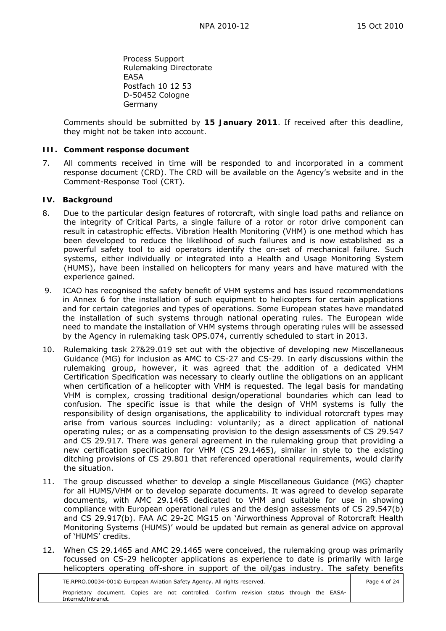Process Support Rulemaking Directorate EASA Postfach 10 12 53 D-50452 Cologne Germany

Comments should be submitted by **15 January 2011**. If received after this deadline, they might not be taken into account.

#### <span id="page-3-0"></span>**III. Comment response document**

7. All comments received in time will be responded to and incorporated in a comment response document (CRD). The CRD will be available on the Agency's website and in the Comment-Response Tool (CRT).

#### <span id="page-3-1"></span>**IV. Background**

- 8. Due to the particular design features of rotorcraft, with single load paths and reliance on the integrity of Critical Parts, a single failure of a rotor or rotor drive component can result in catastrophic effects. Vibration Health Monitoring (VHM) is one method which has been developed to reduce the likelihood of such failures and is now established as a powerful safety tool to aid operators identify the on-set of mechanical failure. Such systems, either individually or integrated into a Health and Usage Monitoring System (HUMS), have been installed on helicopters for many years and have matured with the experience gained.
- 9. ICAO has recognised the safety benefit of VHM systems and has issued recommendations in Annex 6 for the installation of such equipment to helicopters for certain applications and for certain categories and types of operations. Some European states have mandated the installation of such systems through national operating rules. The European wide need to mandate the installation of VHM systems through operating rules will be assessed by the Agency in rulemaking task OPS.074, currently scheduled to start in 2013.
- 10. Rulemaking task 27&29.019 set out with the objective of developing new Miscellaneous Guidance (MG) for inclusion as AMC to CS-27 and CS-29. In early discussions within the rulemaking group, however, it was agreed that the addition of a dedicated VHM Certification Specification was necessary to clearly outline the obligations on an applicant when certification of a helicopter with VHM is requested. The legal basis for mandating VHM is complex, crossing traditional design/operational boundaries which can lead to confusion. The specific issue is that while the design of VHM systems is fully the responsibility of design organisations, the applicability to individual rotorcraft types may arise from various sources including: voluntarily; as a direct application of national operating rules; or as a compensating provision to the design assessments of CS 29.547 and CS 29.917. There was general agreement in the rulemaking group that providing a new certification specification for VHM (CS 29.1465), similar in style to the existing ditching provisions of CS 29.801 that referenced operational requirements, would clarify the situation.
- 11. The group discussed whether to develop a single Miscellaneous Guidance (MG) chapter for all HUMS/VHM or to develop separate documents. It was agreed to develop separate documents, with AMC 29.1465 dedicated to VHM and suitable for use in showing compliance with European operational rules and the design assessments of CS 29.547(b) and CS 29.917(b). FAA AC 29-2C MG15 on 'Airworthiness Approval of Rotorcraft Health Monitoring Systems (HUMS)' would be updated but remain as general advice on approval of 'HUMS' credits.
- 12. When CS 29.1465 and AMC 29.1465 were conceived, the rulemaking group was primarily focussed on CS-29 helicopter applications as experience to date is primarily with large helicopters operating off-shore in support of the oil/gas industry. The safety benefits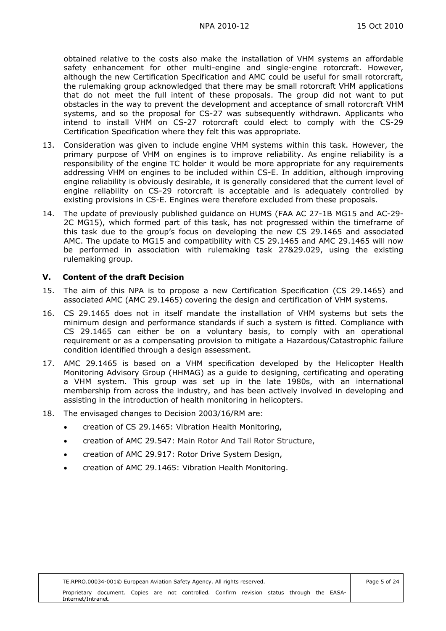obtained relative to the costs also make the installation of VHM systems an affordable safety enhancement for other multi-engine and single-engine rotorcraft. However, although the new Certification Specification and AMC could be useful for small rotorcraft, the rulemaking group acknowledged that there may be small rotorcraft VHM applications that do not meet the full intent of these proposals. The group did not want to put obstacles in the way to prevent the development and acceptance of small rotorcraft VHM systems, and so the proposal for CS-27 was subsequently withdrawn. Applicants who intend to install VHM on CS-27 rotorcraft could elect to comply with the CS-29 Certification Specification where they felt this was appropriate.

- 13. Consideration was given to include engine VHM systems within this task. However, the primary purpose of VHM on engines is to improve reliability. As engine reliability is a responsibility of the engine TC holder it would be more appropriate for any requirements addressing VHM on engines to be included within CS-E. In addition, although improving engine reliability is obviously desirable, it is generally considered that the current level of engine reliability on CS-29 rotorcraft is acceptable and is adequately controlled by existing provisions in CS-E. Engines were therefore excluded from these proposals.
- 14. The update of previously published guidance on HUMS (FAA AC 27-1B MG15 and AC-29- 2C MG15), which formed part of this task, has not progressed within the timeframe of this task due to the group's focus on developing the new CS 29.1465 and associated AMC. The update to MG15 and compatibility with CS 29.1465 and AMC 29.1465 will now be performed in association with rulemaking task 27&29.029, using the existing rulemaking group.

### <span id="page-4-0"></span>**V. Content of the draft Decision**

- 15. The aim of this NPA is to propose a new Certification Specification (CS 29.1465) and associated AMC (AMC 29.1465) covering the design and certification of VHM systems.
- 16. CS 29.1465 does not in itself mandate the installation of VHM systems but sets the minimum design and performance standards if such a system is fitted. Compliance with CS 29.1465 can either be on a voluntary basis, to comply with an operational requirement or as a compensating provision to mitigate a Hazardous/Catastrophic failure condition identified through a design assessment.
- 17. AMC 29.1465 is based on a VHM specification developed by the Helicopter Health Monitoring Advisory Group (HHMAG) as a guide to designing, certificating and operating a VHM system. This group was set up in the late 1980s, with an international membership from across the industry, and has been actively involved in developing and assisting in the introduction of health monitoring in helicopters.
- 18. The envisaged changes to Decision 2003/16/RM are:
	- creation of CS 29.1465: Vibration Health Monitoring,
	- creation of AMC 29.547: Main Rotor And Tail Rotor Structure,
	- creation of AMC 29.917: Rotor Drive System Design,
	- creation of AMC 29.1465: Vibration Health Monitoring.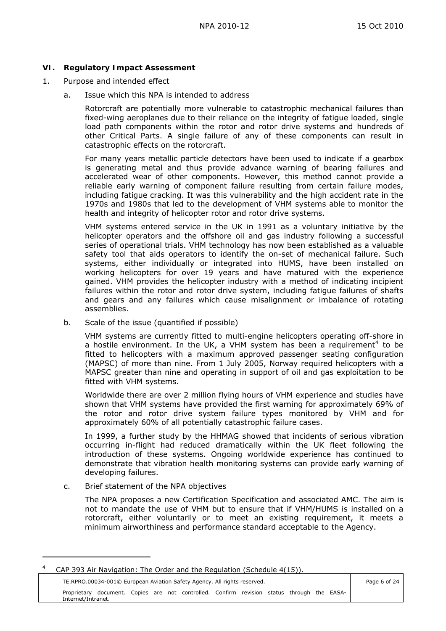### <span id="page-5-0"></span>**VI. Regulatory Impact Assessment**

- 1. Purpose and intended effect
	- a. Issue which this NPA is intended to address

 Rotorcraft are potentially more vulnerable to catastrophic mechanical failures than fixed-wing aeroplanes due to their reliance on the integrity of fatigue loaded, single load path components within the rotor and rotor drive systems and hundreds of other Critical Parts. A single failure of any of these components can result in catastrophic effects on the rotorcraft.

 For many years metallic particle detectors have been used to indicate if a gearbox is generating metal and thus provide advance warning of bearing failures and accelerated wear of other components. However, this method cannot provide a reliable early warning of component failure resulting from certain failure modes, including fatigue cracking. It was this vulnerability and the high accident rate in the 1970s and 1980s that led to the development of VHM systems able to monitor the health and integrity of helicopter rotor and rotor drive systems.

 VHM systems entered service in the UK in 1991 as a voluntary initiative by the helicopter operators and the offshore oil and gas industry following a successful series of operational trials. VHM technology has now been established as a valuable safety tool that aids operators to identify the on-set of mechanical failure. Such systems, either individually or integrated into HUMS, have been installed on working helicopters for over 19 years and have matured with the experience gained. VHM provides the helicopter industry with a method of indicating incipient failures within the rotor and rotor drive system, including fatigue failures of shafts and gears and any failures which cause misalignment or imbalance of rotating assemblies.

b. Scale of the issue (quantified if possible)

VHM systems are currently fitted to multi-engine helicopters operating off-shore in a hostile environment. In the UK, a VHM system has been a requirement<sup>[4](#page-5-1)</sup> to be fitted to helicopters with a maximum approved passenger seating configuration (MAPSC) of more than nine. From 1 July 2005, Norway required helicopters with a MAPSC greater than nine and operating in support of oil and gas exploitation to be fitted with VHM systems.

Worldwide there are over 2 million flying hours of VHM experience and studies have shown that VHM systems have provided the first warning for approximately 69% of the rotor and rotor drive system failure types monitored by VHM and for approximately 60% of all potentially catastrophic failure cases.

In 1999, a further study by the HHMAG showed that incidents of serious vibration occurring in-flight had reduced dramatically within the UK fleet following the introduction of these systems. Ongoing worldwide experience has continued to demonstrate that vibration health monitoring systems can provide early warning of developing failures.

### c. Brief statement of the NPA objectives

 $\overline{a}$ 

The NPA proposes a new Certification Specification and associated AMC. The aim is not to mandate the use of VHM but to ensure that if VHM/HUMS is installed on a rotorcraft, either voluntarily or to meet an existing requirement, it meets a minimum airworthiness and performance standard acceptable to the Agency.

<span id="page-5-1"></span><sup>4</sup> CAP 393 Air Navigation: The Order and the Regulation (Schedule 4(15)).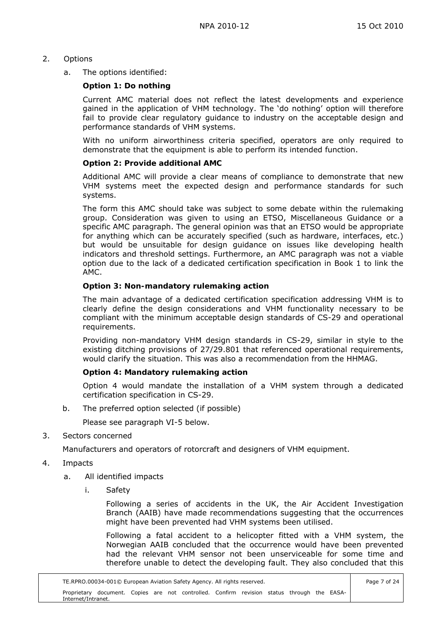## 2. Options

a. The options identified:

### **Option 1: Do nothing**

Current AMC material does not reflect the latest developments and experience gained in the application of VHM technology. The 'do nothing' option will therefore fail to provide clear regulatory guidance to industry on the acceptable design and performance standards of VHM systems.

With no uniform airworthiness criteria specified, operators are only required to demonstrate that the equipment is able to perform its intended function.

### **Option 2: Provide additional AMC**

Additional AMC will provide a clear means of compliance to demonstrate that new VHM systems meet the expected design and performance standards for such systems.

The form this AMC should take was subject to some debate within the rulemaking group. Consideration was given to using an ETSO, Miscellaneous Guidance or a specific AMC paragraph. The general opinion was that an ETSO would be appropriate for anything which can be accurately specified (such as hardware, interfaces, etc.) but would be unsuitable for design guidance on issues like developing health indicators and threshold settings. Furthermore, an AMC paragraph was not a viable option due to the lack of a dedicated certification specification in Book 1 to link the AMC.

### **Option 3: Non-mandatory rulemaking action**

The main advantage of a dedicated certification specification addressing VHM is to clearly define the design considerations and VHM functionality necessary to be compliant with the minimum acceptable design standards of CS-29 and operational requirements.

Providing non-mandatory VHM design standards in CS-29, similar in style to the existing ditching provisions of 27/29.801 that referenced operational requirements, would clarify the situation. This was also a recommendation from the HHMAG.

### **Option 4: Mandatory rulemaking action**

Option 4 would mandate the installation of a VHM system through a dedicated certification specification in CS-29.

b. The preferred option selected (if possible)

Please see paragraph VI-5 below.

3. Sectors concerned

Manufacturers and operators of rotorcraft and designers of VHM equipment.

- 4. Impacts
	- a. All identified impacts
		- i. Safety

Following a series of accidents in the UK, the Air Accident Investigation Branch (AAIB) have made recommendations suggesting that the occurrences might have been prevented had VHM systems been utilised.

Following a fatal accident to a helicopter fitted with a VHM system, the Norwegian AAIB concluded that the occurrence would have been prevented had the relevant VHM sensor not been unserviceable for some time and therefore unable to detect the developing fault. They also concluded that this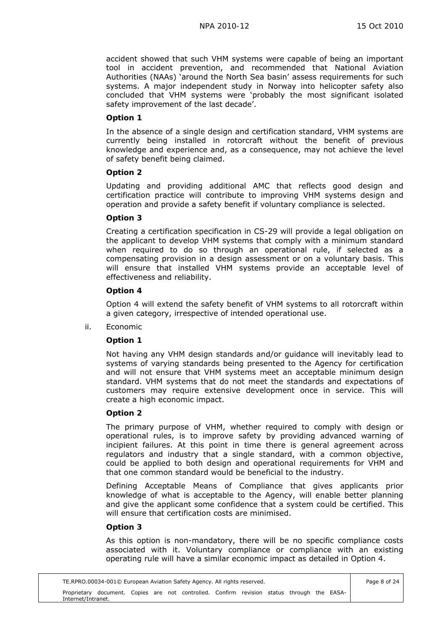accident showed that such VHM systems were capable of being an important tool in accident prevention, and recommended that National Aviation Authorities (NAAs) 'around the North Sea basin' assess requirements for such systems. A major independent study in Norway into helicopter safety also concluded that VHM systems were 'probably the most significant isolated safety improvement of the last decade'.

### **Option 1**

In the absence of a single design and certification standard, VHM systems are currently being installed in rotorcraft without the benefit of previous knowledge and experience and, as a consequence, may not achieve the level of safety benefit being claimed.

### **Option 2**

Updating and providing additional AMC that reflects good design and certification practice will contribute to improving VHM systems design and operation and provide a safety benefit if voluntary compliance is selected.

### **Option 3**

Creating a certification specification in CS-29 will provide a legal obligation on the applicant to develop VHM systems that comply with a minimum standard when required to do so through an operational rule, if selected as a compensating provision in a design assessment or on a voluntary basis. This will ensure that installed VHM systems provide an acceptable level of effectiveness and reliability.

### **Option 4**

Option 4 will extend the safety benefit of VHM systems to all rotorcraft within a given category, irrespective of intended operational use.

ii. Economic

## **Option 1**

Not having any VHM design standards and/or guidance will inevitably lead to systems of varying standards being presented to the Agency for certification and will not ensure that VHM systems meet an acceptable minimum design standard. VHM systems that do not meet the standards and expectations of customers may require extensive development once in service. This will create a high economic impact.

### **Option 2**

The primary purpose of VHM, whether required to comply with design or operational rules, is to improve safety by providing advanced warning of incipient failures. At this point in time there is general agreement across regulators and industry that a single standard, with a common objective, could be applied to both design and operational requirements for VHM and that one common standard would be beneficial to the industry.

Defining Acceptable Means of Compliance that gives applicants prior knowledge of what is acceptable to the Agency, will enable better planning and give the applicant some confidence that a system could be certified. This will ensure that certification costs are minimised.

### **Option 3**

As this option is non-mandatory, there will be no specific compliance costs associated with it. Voluntary compliance or compliance with an existing operating rule will have a similar economic impact as detailed in Option 4.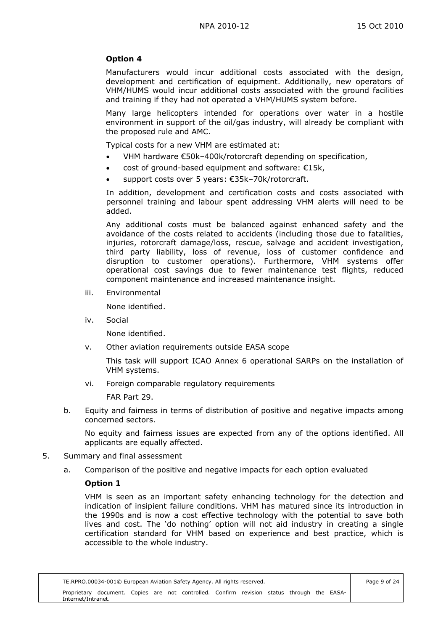## **Option 4**

Manufacturers would incur additional costs associated with the design, development and certification of equipment. Additionally, new operators of VHM/HUMS would incur additional costs associated with the ground facilities and training if they had not operated a VHM/HUMS system before.

Many large helicopters intended for operations over water in a hostile environment in support of the oil/gas industry, will already be compliant with the proposed rule and AMC.

Typical costs for a new VHM are estimated at:

- VHM hardware €50k–400k/rotorcraft depending on specification,
- cost of ground-based equipment and software: €15k,
- support costs over 5 years: €35k–70k/rotorcraft.

In addition, development and certification costs and costs associated with personnel training and labour spent addressing VHM alerts will need to be added.

Any additional costs must be balanced against enhanced safety and the avoidance of the costs related to accidents (including those due to fatalities, injuries, rotorcraft damage/loss, rescue, salvage and accident investigation, third party liability, loss of revenue, loss of customer confidence and disruption to customer operations). Furthermore, VHM systems offer operational cost savings due to fewer maintenance test flights, reduced component maintenance and increased maintenance insight.

iii. Environmental

None identified.

iv. Social

None identified.

v. Other aviation requirements outside EASA scope

This task will support ICAO Annex 6 operational SARPs on the installation of VHM systems.

vi. Foreign comparable regulatory requirements

FAR Part 29.

b. Equity and fairness in terms of distribution of positive and negative impacts among concerned sectors.

 No equity and fairness issues are expected from any of the options identified. All applicants are equally affected.

- 5. Summary and final assessment
	- a. Comparison of the positive and negative impacts for each option evaluated

## **Option 1**

VHM is seen as an important safety enhancing technology for the detection and indication of insipient failure conditions. VHM has matured since its introduction in the 1990s and is now a cost effective technology with the potential to save both lives and cost. The 'do nothing' option will not aid industry in creating a single certification standard for VHM based on experience and best practice, which is accessible to the whole industry.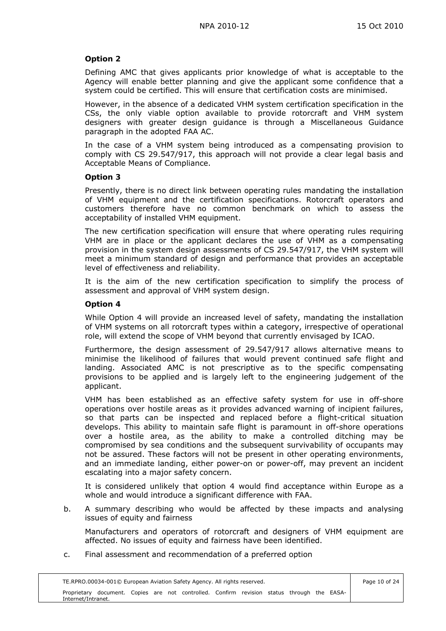## **Option 2**

Defining AMC that gives applicants prior knowledge of what is acceptable to the Agency will enable better planning and give the applicant some confidence that a system could be certified. This will ensure that certification costs are minimised.

However, in the absence of a dedicated VHM system certification specification in the CSs, the only viable option available to provide rotorcraft and VHM system designers with greater design guidance is through a Miscellaneous Guidance paragraph in the adopted FAA AC.

In the case of a VHM system being introduced as a compensating provision to comply with CS 29.547/917, this approach will not provide a clear legal basis and Acceptable Means of Compliance.

### **Option 3**

Presently, there is no direct link between operating rules mandating the installation of VHM equipment and the certification specifications. Rotorcraft operators and customers therefore have no common benchmark on which to assess the acceptability of installed VHM equipment.

The new certification specification will ensure that where operating rules requiring VHM are in place or the applicant declares the use of VHM as a compensating provision in the system design assessments of CS 29.547/917, the VHM system will meet a minimum standard of design and performance that provides an acceptable level of effectiveness and reliability.

It is the aim of the new certification specification to simplify the process of assessment and approval of VHM system design.

### **Option 4**

While Option 4 will provide an increased level of safety, mandating the installation of VHM systems on all rotorcraft types within a category, irrespective of operational role, will extend the scope of VHM beyond that currently envisaged by ICAO.

Furthermore, the design assessment of 29.547/917 allows alternative means to minimise the likelihood of failures that would prevent continued safe flight and landing. Associated AMC is not prescriptive as to the specific compensating provisions to be applied and is largely left to the engineering judgement of the applicant.

VHM has been established as an effective safety system for use in off-shore operations over hostile areas as it provides advanced warning of incipient failures, so that parts can be inspected and replaced before a flight-critical situation develops. This ability to maintain safe flight is paramount in off-shore operations over a hostile area, as the ability to make a controlled ditching may be compromised by sea conditions and the subsequent survivability of occupants may not be assured. These factors will not be present in other operating environments, and an immediate landing, either power-on or power-off, may prevent an incident escalating into a major safety concern.

It is considered unlikely that option 4 would find acceptance within Europe as a whole and would introduce a significant difference with FAA.

b. A summary describing who would be affected by these impacts and analysing issues of equity and fairness

 Manufacturers and operators of rotorcraft and designers of VHM equipment are affected. No issues of equity and fairness have been identified.

c. Final assessment and recommendation of a preferred option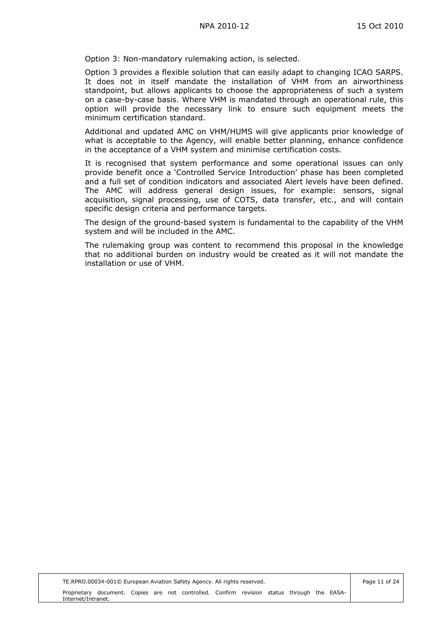Option 3: Non-mandatory rulemaking action, is selected.

Option 3 provides a flexible solution that can easily adapt to changing ICAO SARPS. It does not in itself mandate the installation of VHM from an airworthiness standpoint, but allows applicants to choose the appropriateness of such a system on a case-by-case basis. Where VHM is mandated through an operational rule, this option will provide the necessary link to ensure such equipment meets the minimum certification standard.

Additional and updated AMC on VHM/HUMS will give applicants prior knowledge of what is acceptable to the Agency, will enable better planning, enhance confidence in the acceptance of a VHM system and minimise certification costs.

It is recognised that system performance and some operational issues can only provide benefit once a 'Controlled Service Introduction' phase has been completed and a full set of condition indicators and associated Alert levels have been defined. The AMC will address general design issues, for example: sensors, signal acquisition, signal processing, use of COTS, data transfer, etc., and will contain specific design criteria and performance targets.

The design of the ground-based system is fundamental to the capability of the VHM system and will be included in the AMC.

The rulemaking group was content to recommend this proposal in the knowledge that no additional burden on industry would be created as it will not mandate the installation or use of VHM.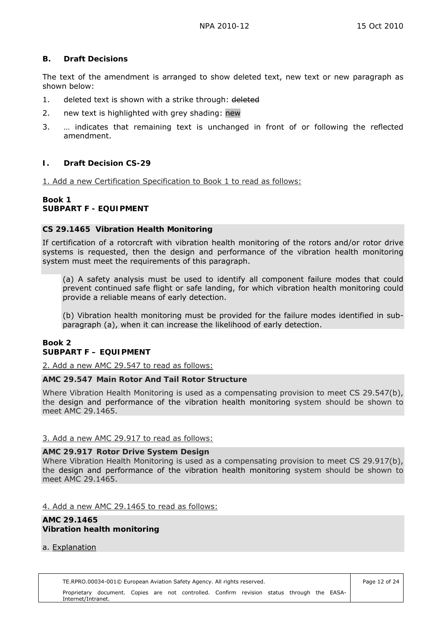### <span id="page-11-0"></span>**B. Draft Decisions**

The text of the amendment is arranged to show deleted text, new text or new paragraph as shown below:

- 1. deleted text is shown with a strike through: deleted
- 2. new text is highlighted with grey shading: new
- 3. … indicates that remaining text is unchanged in front of or following the reflected amendment.

## <span id="page-11-1"></span>**I. Draft Decision CS-29**

1. Add a new Certification Specification to Book 1 to read as follows:

### **Book 1 SUBPART F - EQUIPMENT**

### **CS 29.1465 Vibration Health Monitoring**

If certification of a rotorcraft with vibration health monitoring of the rotors and/or rotor drive systems is requested, then the design and performance of the vibration health monitoring system must meet the requirements of this paragraph.

(a) A safety analysis must be used to identify all component failure modes that could prevent continued safe flight or safe landing, for which vibration health monitoring could provide a reliable means of early detection.

(b) Vibration health monitoring must be provided for the failure modes identified in subparagraph (a), when it can increase the likelihood of early detection.

### **Book 2 SUBPART F – EQUIPMENT**

2. Add a new AMC 29.547 to read as follows:

### **AMC 29.547 Main Rotor And Tail Rotor Structure**

Where Vibration Health Monitoring is used as a compensating provision to meet CS 29.547(b), the design and performance of the vibration health monitoring system should be shown to meet AMC 29.1465.

### 3. Add a new AMC 29.917 to read as follows:

### **AMC 29.917 Rotor Drive System Design**

Where Vibration Health Monitoring is used as a compensating provision to meet CS 29.917(b), the design and performance of the vibration health monitoring system should be shown to meet AMC 29.1465.

### 4. Add a new AMC 29.1465 to read as follows:

#### **AMC 29.1465 Vibration health monitoring**

### a. Explanation

TE.RPRO.00034-001© European Aviation Safety Agency. All rights reserved. Proprietary document. Copies are not controlled. Confirm revision status through the EASA-Internet/Intranet.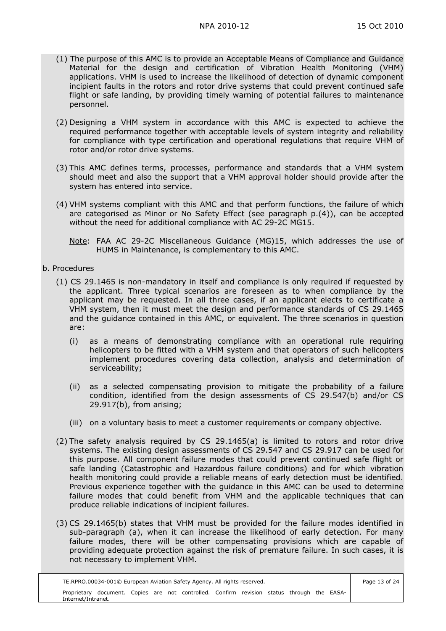- (1) The purpose of this AMC is to provide an Acceptable Means of Compliance and Guidance Material for the design and certification of Vibration Health Monitoring (VHM) applications. VHM is used to increase the likelihood of detection of dynamic component incipient faults in the rotors and rotor drive systems that could prevent continued safe flight or safe landing, by providing timely warning of potential failures to maintenance personnel.
- (2) Designing a VHM system in accordance with this AMC is expected to achieve the required performance together with acceptable levels of system integrity and reliability for compliance with type certification and operational regulations that require VHM of rotor and/or rotor drive systems.
- (3) This AMC defines terms, processes, performance and standards that a VHM system should meet and also the support that a VHM approval holder should provide after the system has entered into service.
- (4) VHM systems compliant with this AMC and that perform functions, the failure of which are categorised as Minor or No Safety Effect (see paragraph p.(4)), can be accepted without the need for additional compliance with AC 29-2C MG15.
	- Note: FAA AC 29-2C Miscellaneous Guidance (MG)15, which addresses the use of HUMS in Maintenance, is complementary to this AMC.
- b. Procedures
	- (1) CS 29.1465 is non-mandatory in itself and compliance is only required if requested by the applicant. Three typical scenarios are foreseen as to when compliance by the applicant may be requested. In all three cases, if an applicant elects to certificate a VHM system, then it must meet the design and performance standards of CS 29.1465 and the guidance contained in this AMC, or equivalent. The three scenarios in question are:
		- (i) as a means of demonstrating compliance with an operational rule requiring helicopters to be fitted with a VHM system and that operators of such helicopters implement procedures covering data collection, analysis and determination of serviceability;
		- (ii) as a selected compensating provision to mitigate the probability of a failure condition, identified from the design assessments of CS 29.547(b) and/or CS 29.917(b), from arising;
		- (iii) on a voluntary basis to meet a customer requirements or company objective.
	- (2) The safety analysis required by CS 29.1465(a) is limited to rotors and rotor drive systems. The existing design assessments of CS 29.547 and CS 29.917 can be used for this purpose. All component failure modes that could prevent continued safe flight or safe landing (Catastrophic and Hazardous failure conditions) and for which vibration health monitoring could provide a reliable means of early detection must be identified. Previous experience together with the guidance in this AMC can be used to determine failure modes that could benefit from VHM and the applicable techniques that can produce reliable indications of incipient failures.
	- (3) CS 29.1465(b) states that VHM must be provided for the failure modes identified in sub-paragraph (a), when it can increase the likelihood of early detection. For many failure modes, there will be other compensating provisions which are capable of providing adequate protection against the risk of premature failure. In such cases, it is not necessary to implement VHM.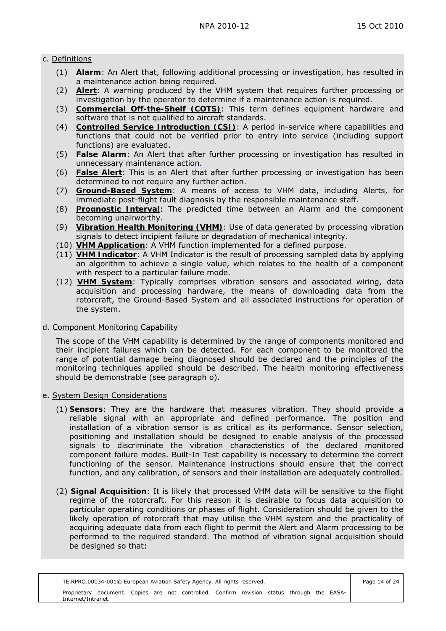### c. Definitions

- (1) **Alarm**: An Alert that, following additional processing or investigation, has resulted in a maintenance action being required.
- (2) **Alert**: A warning produced by the VHM system that requires further processing or investigation by the operator to determine if a maintenance action is required.
- (3) **Commercial Off-the-Shelf (COTS)**: This term defines equipment hardware and software that is not qualified to aircraft standards.
- (4) **Controlled Service Introduction (CSI)**: A period in-service where capabilities and functions that could not be verified prior to entry into service (including support functions) are evaluated.
- (5) **False Alarm**: An Alert that after further processing or investigation has resulted in unnecessary maintenance action.
- (6) **False Alert**: This is an Alert that after further processing or investigation has been determined to not require any further action.
- (7) **Ground-Based System**: A means of access to VHM data, including Alerts, for immediate post-flight fault diagnosis by the responsible maintenance staff.
- (8) **Prognostic Interval**: The predicted time between an Alarm and the component becoming unairworthy.
- (9) **Vibration Health Monitoring (VHM)**: Use of data generated by processing vibration signals to detect incipient failure or degradation of mechanical integrity.
- (10) **VHM Application**: A VHM function implemented for a defined purpose.
- (11) **VHM Indicator**: A VHM Indicator is the result of processing sampled data by applying an algorithm to achieve a single value, which relates to the health of a component with respect to a particular failure mode.
- (12) **VHM System**: Typically comprises vibration sensors and associated wiring, data acquisition and processing hardware, the means of downloading data from the rotorcraft, the Ground-Based System and all associated instructions for operation of the system.

## d. Component Monitoring Capability

 The scope of the VHM capability is determined by the range of components monitored and their incipient failures which can be detected. For each component to be monitored the range of potential damage being diagnosed should be declared and the principles of the monitoring techniques applied should be described. The health monitoring effectiveness should be demonstrable (see paragraph o).

## e. System Design Considerations

- (1) **Sensors**: They are the hardware that measures vibration. They should provide a reliable signal with an appropriate and defined performance. The position and installation of a vibration sensor is as critical as its performance. Sensor selection, positioning and installation should be designed to enable analysis of the processed signals to discriminate the vibration characteristics of the declared monitored component failure modes. Built-In Test capability is necessary to determine the correct functioning of the sensor. Maintenance instructions should ensure that the correct function, and any calibration, of sensors and their installation are adequately controlled.
- (2) **Signal Acquisition**: It is likely that processed VHM data will be sensitive to the flight regime of the rotorcraft. For this reason it is desirable to focus data acquisition to particular operating conditions or phases of flight. Consideration should be given to the likely operation of rotorcraft that may utilise the VHM system and the practicality of acquiring adequate data from each flight to permit the Alert and Alarm processing to be performed to the required standard. The method of vibration signal acquisition should be designed so that: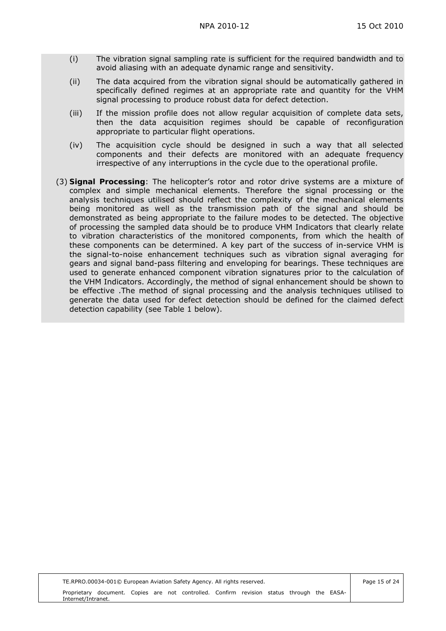- (i) The vibration signal sampling rate is sufficient for the required bandwidth and to avoid aliasing with an adequate dynamic range and sensitivity.
- (ii) The data acquired from the vibration signal should be automatically gathered in specifically defined regimes at an appropriate rate and quantity for the VHM signal processing to produce robust data for defect detection.
- (iii) If the mission profile does not allow regular acquisition of complete data sets, then the data acquisition regimes should be capable of reconfiguration appropriate to particular flight operations.
- (iv) The acquisition cycle should be designed in such a way that all selected components and their defects are monitored with an adequate frequency irrespective of any interruptions in the cycle due to the operational profile.
- (3) **Signal Processing**: The helicopter's rotor and rotor drive systems are a mixture of complex and simple mechanical elements. Therefore the signal processing or the analysis techniques utilised should reflect the complexity of the mechanical elements being monitored as well as the transmission path of the signal and should be demonstrated as being appropriate to the failure modes to be detected. The objective of processing the sampled data should be to produce VHM Indicators that clearly relate to vibration characteristics of the monitored components, from which the health of these components can be determined. A key part of the success of in-service VHM is the signal-to-noise enhancement techniques such as vibration signal averaging for gears and signal band-pass filtering and enveloping for bearings. These techniques are used to generate enhanced component vibration signatures prior to the calculation of the VHM Indicators. Accordingly, the method of signal enhancement should be shown to be effective .The method of signal processing and the analysis techniques utilised to generate the data used for defect detection should be defined for the claimed defect detection capability (see Table 1 below).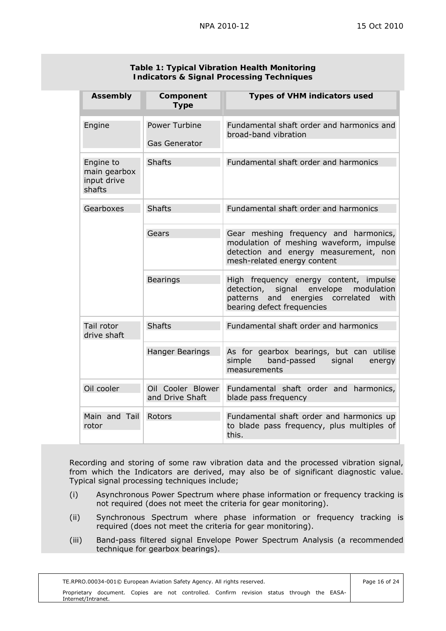| <b>Assembly</b>                                    | Component<br><b>Type</b>              | <b>Types of VHM indicators used</b>                                                                                                                                |
|----------------------------------------------------|---------------------------------------|--------------------------------------------------------------------------------------------------------------------------------------------------------------------|
| Engine                                             | Power Turbine<br><b>Gas Generator</b> | Fundamental shaft order and harmonics and<br>broad-band vibration                                                                                                  |
| Engine to<br>main gearbox<br>input drive<br>shafts | <b>Shafts</b>                         | Fundamental shaft order and harmonics                                                                                                                              |
| Gearboxes                                          | <b>Shafts</b>                         | Fundamental shaft order and harmonics                                                                                                                              |
|                                                    | Gears                                 | Gear meshing frequency and harmonics,<br>modulation of meshing waveform, impulse<br>detection and energy measurement, non<br>mesh-related energy content           |
|                                                    | <b>Bearings</b>                       | High frequency energy content, impulse<br>envelope modulation<br>signal<br>detection,<br>patterns<br>and energies correlated<br>with<br>bearing defect frequencies |
| Tail rotor<br>drive shaft                          | <b>Shafts</b>                         | Fundamental shaft order and harmonics                                                                                                                              |
|                                                    | <b>Hanger Bearings</b>                | As for gearbox bearings, but can utilise<br>band-passed<br>simple<br>signal<br>energy<br>measurements                                                              |
| Oil cooler                                         | Oil Cooler Blower<br>and Drive Shaft  | Fundamental shaft order and harmonics,<br>blade pass frequency                                                                                                     |
| Main and Tail<br>rotor                             | Rotors                                | Fundamental shaft order and harmonics up<br>to blade pass frequency, plus multiples of<br>this.                                                                    |

### **Table 1: Typical Vibration Health Monitoring Indicators & Signal Processing Techniques**

 Recording and storing of some raw vibration data and the processed vibration signal, from which the Indicators are derived, may also be of significant diagnostic value. Typical signal processing techniques include;

- (i) Asynchronous Power Spectrum where phase information or frequency tracking is not required (does not meet the criteria for gear monitoring).
- (ii) Synchronous Spectrum where phase information or frequency tracking is required (does not meet the criteria for gear monitoring).
- (iii) Band-pass filtered signal Envelope Power Spectrum Analysis (a recommended technique for gearbox bearings).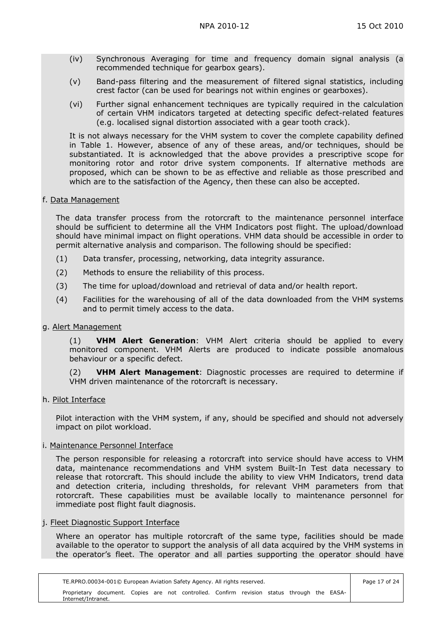- (iv) Synchronous Averaging for time and frequency domain signal analysis (a recommended technique for gearbox gears).
- (v) Band-pass filtering and the measurement of filtered signal statistics, including crest factor (can be used for bearings not within engines or gearboxes).
- (vi) Further signal enhancement techniques are typically required in the calculation of certain VHM indicators targeted at detecting specific defect-related features (e.g. localised signal distortion associated with a gear tooth crack).

 It is not always necessary for the VHM system to cover the complete capability defined in Table 1. However, absence of any of these areas, and/or techniques, should be substantiated. It is acknowledged that the above provides a prescriptive scope for monitoring rotor and rotor drive system components. If alternative methods are proposed, which can be shown to be as effective and reliable as those prescribed and which are to the satisfaction of the Agency, then these can also be accepted.

### f. Data Management

 The data transfer process from the rotorcraft to the maintenance personnel interface should be sufficient to determine all the VHM Indicators post flight. The upload/download should have minimal impact on flight operations. VHM data should be accessible in order to permit alternative analysis and comparison. The following should be specified:

- (1) Data transfer, processing, networking, data integrity assurance.
- (2) Methods to ensure the reliability of this process.
- (3) The time for upload/download and retrieval of data and/or health report.
- (4) Facilities for the warehousing of all of the data downloaded from the VHM systems and to permit timely access to the data.

#### g. Alert Management

(1) **VHM Alert Generation**: VHM Alert criteria should be applied to every monitored component. VHM Alerts are produced to indicate possible anomalous behaviour or a specific defect.

 (2) **VHM Alert Management**: Diagnostic processes are required to determine if VHM driven maintenance of the rotorcraft is necessary.

#### h. Pilot Interface

 Pilot interaction with the VHM system, if any, should be specified and should not adversely impact on pilot workload.

#### i. Maintenance Personnel Interface

 The person responsible for releasing a rotorcraft into service should have access to VHM data, maintenance recommendations and VHM system Built-In Test data necessary to release that rotorcraft. This should include the ability to view VHM Indicators, trend data and detection criteria, including thresholds, for relevant VHM parameters from that rotorcraft. These capabilities must be available locally to maintenance personnel for immediate post flight fault diagnosis.

#### j. Fleet Diagnostic Support Interface

 Where an operator has multiple rotorcraft of the same type, facilities should be made available to the operator to support the analysis of all data acquired by the VHM systems in the operator's fleet. The operator and all parties supporting the operator should have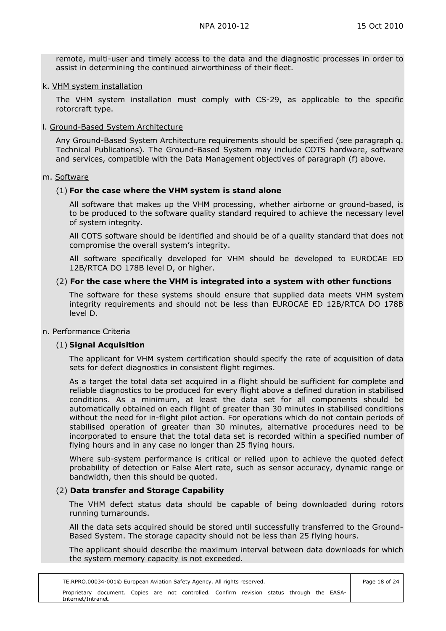remote, multi-user and timely access to the data and the diagnostic processes in order to assist in determining the continued airworthiness of their fleet.

#### k. VHM system installation

 The VHM system installation must comply with CS-29, as applicable to the specific rotorcraft type.

#### l. Ground-Based System Architecture

 Any Ground-Based System Architecture requirements should be specified (see paragraph q. Technical Publications). The Ground-Based System may include COTS hardware, software and services, compatible with the Data Management objectives of paragraph (f) above.

#### m. Software

#### (1) **For the case where the VHM system is stand alone**

 All software that makes up the VHM processing, whether airborne or ground-based, is to be produced to the software quality standard required to achieve the necessary level of system integrity.

 All COTS software should be identified and should be of a quality standard that does not compromise the overall system's integrity.

 All software specifically developed for VHM should be developed to EUROCAE ED 12B/RTCA DO 178B level D, or higher.

#### (2) **For the case where the VHM is integrated into a system with other functions**

 The software for these systems should ensure that supplied data meets VHM system integrity requirements and should not be less than EUROCAE ED 12B/RTCA DO 178B level D.

### n. Performance Criteria

### (1) **Signal Acquisition**

 The applicant for VHM system certification should specify the rate of acquisition of data sets for defect diagnostics in consistent flight regimes.

 As a target the total data set acquired in a flight should be sufficient for complete and reliable diagnostics to be produced for every flight above a defined duration in stabilised conditions. As a minimum, at least the data set for all components should be automatically obtained on each flight of greater than 30 minutes in stabilised conditions without the need for in-flight pilot action. For operations which do not contain periods of stabilised operation of greater than 30 minutes, alternative procedures need to be incorporated to ensure that the total data set is recorded within a specified number of flying hours and in any case no longer than 25 flying hours.

 Where sub-system performance is critical or relied upon to achieve the quoted defect probability of detection or False Alert rate, such as sensor accuracy, dynamic range or bandwidth, then this should be quoted.

### (2) **Data transfer and Storage Capability**

 The VHM defect status data should be capable of being downloaded during rotors running turnarounds.

 All the data sets acquired should be stored until successfully transferred to the Ground-Based System. The storage capacity should not be less than 25 flying hours.

 The applicant should describe the maximum interval between data downloads for which the system memory capacity is not exceeded.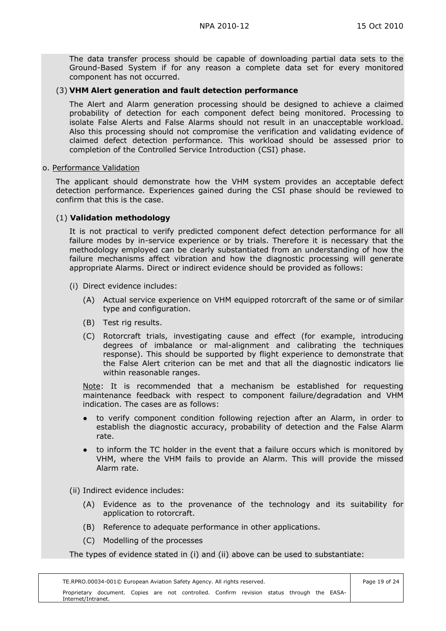The data transfer process should be capable of downloading partial data sets to the Ground-Based System if for any reason a complete data set for every monitored component has not occurred.

#### (3) **VHM Alert generation and fault detection performance**

 The Alert and Alarm generation processing should be designed to achieve a claimed probability of detection for each component defect being monitored. Processing to isolate False Alerts and False Alarms should not result in an unacceptable workload. Also this processing should not compromise the verification and validating evidence of claimed defect detection performance. This workload should be assessed prior to completion of the Controlled Service Introduction (CSI) phase.

#### o. Performance Validation

 The applicant should demonstrate how the VHM system provides an acceptable defect detection performance. Experiences gained during the CSI phase should be reviewed to confirm that this is the case.

### (1) **Validation methodology**

 It is not practical to verify predicted component defect detection performance for all failure modes by in-service experience or by trials. Therefore it is necessary that the methodology employed can be clearly substantiated from an understanding of how the failure mechanisms affect vibration and how the diagnostic processing will generate appropriate Alarms. Direct or indirect evidence should be provided as follows:

- (i) Direct evidence includes:
	- (A) Actual service experience on VHM equipped rotorcraft of the same or of similar type and configuration.
	- (B) Test rig results.
	- (C) Rotorcraft trials, investigating cause and effect (for example, introducing degrees of imbalance or mal-alignment and calibrating the techniques response). This should be supported by flight experience to demonstrate that the False Alert criterion can be met and that all the diagnostic indicators lie within reasonable ranges.

 Note: It is recommended that a mechanism be established for requesting maintenance feedback with respect to component failure/degradation and VHM indication. The cases are as follows:

- to verify component condition following rejection after an Alarm, in order to establish the diagnostic accuracy, probability of detection and the False Alarm rate.
- to inform the TC holder in the event that a failure occurs which is monitored by VHM, where the VHM fails to provide an Alarm. This will provide the missed Alarm rate.

(ii) Indirect evidence includes:

- (A) Evidence as to the provenance of the technology and its suitability for application to rotorcraft.
- (B) Reference to adequate performance in other applications.
- (C) Modelling of the processes

The types of evidence stated in (i) and (ii) above can be used to substantiate: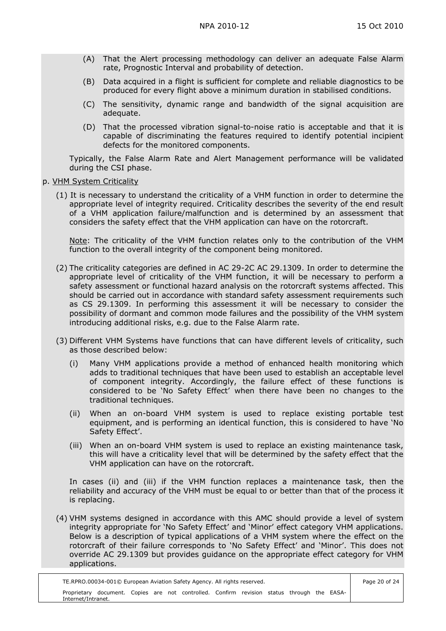- (A) That the Alert processing methodology can deliver an adequate False Alarm rate, Prognostic Interval and probability of detection.
- (B) Data acquired in a flight is sufficient for complete and reliable diagnostics to be produced for every flight above a minimum duration in stabilised conditions.
- (C) The sensitivity, dynamic range and bandwidth of the signal acquisition are adequate.
- (D) That the processed vibration signal-to-noise ratio is acceptable and that it is capable of discriminating the features required to identify potential incipient defects for the monitored components.

 Typically, the False Alarm Rate and Alert Management performance will be validated during the CSI phase.

- p. VHM System Criticality
	- (1) It is necessary to understand the criticality of a VHM function in order to determine the appropriate level of integrity required. Criticality describes the severity of the end result of a VHM application failure/malfunction and is determined by an assessment that considers the safety effect that the VHM application can have on the rotorcraft.

 Note: The criticality of the VHM function relates only to the contribution of the VHM function to the overall integrity of the component being monitored.

- (2) The criticality categories are defined in AC 29-2C AC 29.1309. In order to determine the appropriate level of criticality of the VHM function, it will be necessary to perform a safety assessment or functional hazard analysis on the rotorcraft systems affected. This should be carried out in accordance with standard safety assessment requirements such as CS 29.1309. In performing this assessment it will be necessary to consider the possibility of dormant and common mode failures and the possibility of the VHM system introducing additional risks, e.g. due to the False Alarm rate.
- (3) Different VHM Systems have functions that can have different levels of criticality, such as those described below:
	- (i) Many VHM applications provide a method of enhanced health monitoring which adds to traditional techniques that have been used to establish an acceptable level of component integrity. Accordingly, the failure effect of these functions is considered to be 'No Safety Effect' when there have been no changes to the traditional techniques.
	- (ii) When an on-board VHM system is used to replace existing portable test equipment, and is performing an identical function, this is considered to have 'No Safety Effect'.
	- (iii) When an on-board VHM system is used to replace an existing maintenance task, this will have a criticality level that will be determined by the safety effect that the VHM application can have on the rotorcraft.

 In cases (ii) and (iii) if the VHM function replaces a maintenance task, then the reliability and accuracy of the VHM must be equal to or better than that of the process it is replacing.

 (4) VHM systems designed in accordance with this AMC should provide a level of system integrity appropriate for 'No Safety Effect' and 'Minor' effect category VHM applications. Below is a description of typical applications of a VHM system where the effect on the rotorcraft of their failure corresponds to 'No Safety Effect' and 'Minor'. This does not override AC 29.1309 but provides guidance on the appropriate effect category for VHM applications.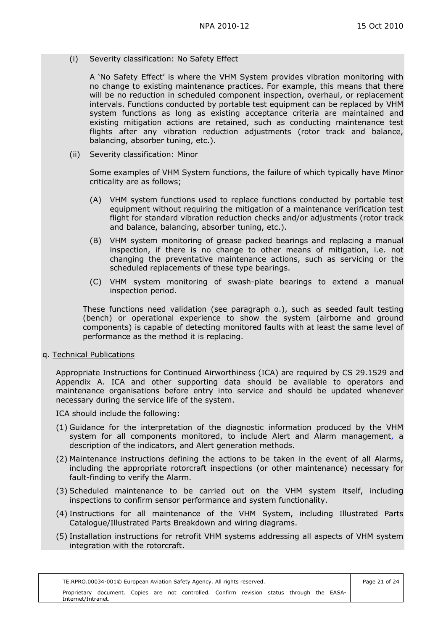(i) Severity classification: No Safety Effect

 A 'No Safety Effect' is where the VHM System provides vibration monitoring with no change to existing maintenance practices. For example, this means that there will be no reduction in scheduled component inspection, overhaul, or replacement intervals. Functions conducted by portable test equipment can be replaced by VHM system functions as long as existing acceptance criteria are maintained and existing mitigation actions are retained, such as conducting maintenance test flights after any vibration reduction adjustments (rotor track and balance, balancing, absorber tuning, etc.).

(ii) Severity classification: Minor

 Some examples of VHM System functions, the failure of which typically have Minor criticality are as follows;

- (A) VHM system functions used to replace functions conducted by portable test equipment without requiring the mitigation of a maintenance verification test flight for standard vibration reduction checks and/or adjustments (rotor track and balance, balancing, absorber tuning, etc.).
- (B) VHM system monitoring of grease packed bearings and replacing a manual inspection, if there is no change to other means of mitigation, i.e. not changing the preventative maintenance actions, such as servicing or the scheduled replacements of these type bearings.
- (C) VHM system monitoring of swash-plate bearings to extend a manual inspection period.

 These functions need validation (see paragraph o.), such as seeded fault testing (bench) or operational experience to show the system (airborne and ground components) is capable of detecting monitored faults with at least the same level of performance as the method it is replacing.

q. Technical Publications

 Appropriate Instructions for Continued Airworthiness (ICA) are required by CS 29.1529 and Appendix A. ICA and other supporting data should be available to operators and maintenance organisations before entry into service and should be updated whenever necessary during the service life of the system.

ICA should include the following:

- (1) Guidance for the interpretation of the diagnostic information produced by the VHM system for all components monitored, to include Alert and Alarm management, a description of the indicators, and Alert generation methods.
- (2) Maintenance instructions defining the actions to be taken in the event of all Alarms, including the appropriate rotorcraft inspections (or other maintenance) necessary for fault-finding to verify the Alarm.
- (3) Scheduled maintenance to be carried out on the VHM system itself, including inspections to confirm sensor performance and system functionality.
- (4) Instructions for all maintenance of the VHM System, including Illustrated Parts Catalogue/Illustrated Parts Breakdown and wiring diagrams.
- (5) Installation instructions for retrofit VHM systems addressing all aspects of VHM system integration with the rotorcraft.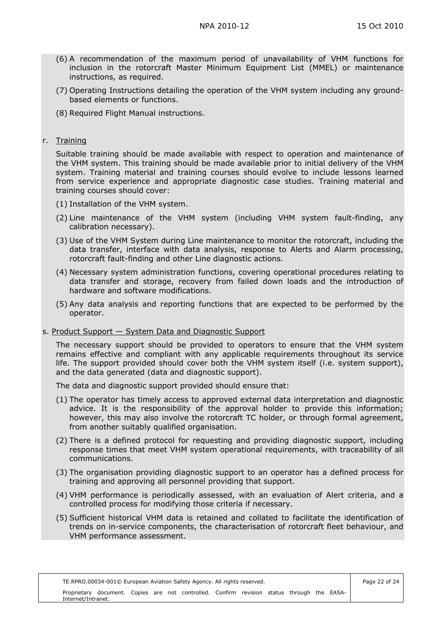- (6) A recommendation of the maximum period of unavailability of VHM functions for inclusion in the rotorcraft Master Minimum Equipment List (MMEL) or maintenance instructions, as required.
- (7) Operating Instructions detailing the operation of the VHM system including any groundbased elements or functions.
- (8) Required Flight Manual instructions.

### r. Training

 Suitable training should be made available with respect to operation and maintenance of the VHM system. This training should be made available prior to initial delivery of the VHM system. Training material and training courses should evolve to include lessons learned from service experience and appropriate diagnostic case studies. Training material and training courses should cover:

- (1) Installation of the VHM system.
- (2) Line maintenance of the VHM system (including VHM system fault-finding, any calibration necessary).
- (3) Use of the VHM System during Line maintenance to monitor the rotorcraft, including the data transfer, interface with data analysis, response to Alerts and Alarm processing, rotorcraft fault-finding and other Line diagnostic actions.
- (4) Necessary system administration functions, covering operational procedures relating to data transfer and storage, recovery from failed down loads and the introduction of hardware and software modifications.
- (5) Any data analysis and reporting functions that are expected to be performed by the operator.

### s. Product Support — System Data and Diagnostic Support

 The necessary support should be provided to operators to ensure that the VHM system remains effective and compliant with any applicable requirements throughout its service life. The support provided should cover both the VHM system itself (i.e. system support), and the data generated (data and diagnostic support).

The data and diagnostic support provided should ensure that:

- (1) The operator has timely access to approved external data interpretation and diagnostic advice. It is the responsibility of the approval holder to provide this information; however, this may also involve the rotorcraft TC holder, or through formal agreement, from another suitably qualified organisation.
- (2) There is a defined protocol for requesting and providing diagnostic support, including response times that meet VHM system operational requirements, with traceability of all communications.
- (3) The organisation providing diagnostic support to an operator has a defined process for training and approving all personnel providing that support.
- (4) VHM performance is periodically assessed, with an evaluation of Alert criteria, and a controlled process for modifying those criteria if necessary.
- (5) Sufficient historical VHM data is retained and collated to facilitate the identification of trends on in-service components, the characterisation of rotorcraft fleet behaviour, and VHM performance assessment.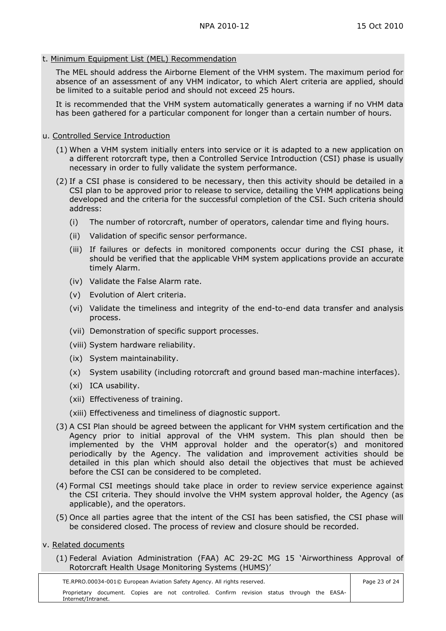#### t. Minimum Equipment List (MEL) Recommendation

 The MEL should address the Airborne Element of the VHM system. The maximum period for absence of an assessment of any VHM indicator, to which Alert criteria are applied, should be limited to a suitable period and should not exceed 25 hours.

 It is recommended that the VHM system automatically generates a warning if no VHM data has been gathered for a particular component for longer than a certain number of hours.

### u. Controlled Service Introduction

- (1) When a VHM system initially enters into service or it is adapted to a new application on a different rotorcraft type, then a Controlled Service Introduction (CSI) phase is usually necessary in order to fully validate the system performance.
- (2) If a CSI phase is considered to be necessary, then this activity should be detailed in a CSI plan to be approved prior to release to service, detailing the VHM applications being developed and the criteria for the successful completion of the CSI. Such criteria should address:
	- (i) The number of rotorcraft, number of operators, calendar time and flying hours.
	- (ii) Validation of specific sensor performance.
	- (iii) If failures or defects in monitored components occur during the CSI phase, it should be verified that the applicable VHM system applications provide an accurate timely Alarm.
	- (iv) Validate the False Alarm rate.
	- (v) Evolution of Alert criteria.
	- (vi) Validate the timeliness and integrity of the end-to-end data transfer and analysis process.
	- (vii) Demonstration of specific support processes.
	- (viii) System hardware reliability.
	- (ix) System maintainability.
	- (x) System usability (including rotorcraft and ground based man-machine interfaces).
	- (xi) ICA usability.
	- (xii) Effectiveness of training.
	- (xiii) Effectiveness and timeliness of diagnostic support.
- (3) A CSI Plan should be agreed between the applicant for VHM system certification and the Agency prior to initial approval of the VHM system. This plan should then be implemented by the VHM approval holder and the operator(s) and monitored periodically by the Agency. The validation and improvement activities should be detailed in this plan which should also detail the objectives that must be achieved before the CSI can be considered to be completed.
- (4) Formal CSI meetings should take place in order to review service experience against the CSI criteria. They should involve the VHM system approval holder, the Agency (as applicable), and the operators.
- (5) Once all parties agree that the intent of the CSI has been satisfied, the CSI phase will be considered closed. The process of review and closure should be recorded.

#### v. Related documents

 (1) Federal Aviation Administration (FAA) AC 29-2C MG 15 'Airworthiness Approval of Rotorcraft Health Usage Monitoring Systems (HUMS)'

TE.RPRO.00034-001© European Aviation Safety Agency. All rights reserved. Proprietary document. Copies are not controlled. Confirm revision status through the EASA-Internet/Intranet.